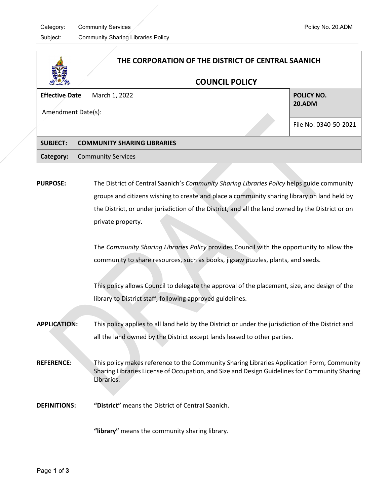Subject: Community Sharing Libraries Policy

|                                                                                               |                                                                                                                                                                                                           | THE CORPORATION OF THE DISTRICT OF CENTRAL SAANICH                                          |  |
|-----------------------------------------------------------------------------------------------|-----------------------------------------------------------------------------------------------------------------------------------------------------------------------------------------------------------|---------------------------------------------------------------------------------------------|--|
|                                                                                               | <b>COUNCIL POLICY</b>                                                                                                                                                                                     |                                                                                             |  |
| <b>Effective Date</b><br>Amendment Date(s):                                                   | March 1, 2022                                                                                                                                                                                             | POLICY NO.<br><b>20.ADM</b>                                                                 |  |
|                                                                                               |                                                                                                                                                                                                           | File No: 0340-50-2021                                                                       |  |
| <b>SUBJECT:</b>                                                                               | <b>COMMUNITY SHARING LIBRARIES</b>                                                                                                                                                                        |                                                                                             |  |
| Category:                                                                                     | <b>Community Services</b>                                                                                                                                                                                 |                                                                                             |  |
|                                                                                               |                                                                                                                                                                                                           |                                                                                             |  |
| <b>PURPOSE:</b>                                                                               | The District of Central Saanich's Community Sharing Libraries Policy helps guide community                                                                                                                |                                                                                             |  |
|                                                                                               |                                                                                                                                                                                                           | groups and citizens wishing to create and place a community sharing library on land held by |  |
|                                                                                               | the District, or under jurisdiction of the District, and all the land owned by the District or on                                                                                                         |                                                                                             |  |
|                                                                                               | private property.                                                                                                                                                                                         |                                                                                             |  |
|                                                                                               |                                                                                                                                                                                                           |                                                                                             |  |
| The Community Sharing Libraries Policy provides Council with the opportunity to allow the     |                                                                                                                                                                                                           |                                                                                             |  |
|                                                                                               | community to share resources, such as books, jigsaw puzzles, plants, and seeds.                                                                                                                           |                                                                                             |  |
| This policy allows Council to delegate the approval of the placement, size, and design of the |                                                                                                                                                                                                           |                                                                                             |  |
|                                                                                               | library to District staff, following approved guidelines.                                                                                                                                                 |                                                                                             |  |
|                                                                                               |                                                                                                                                                                                                           |                                                                                             |  |
| <b>APPLICATION:</b>                                                                           | This policy applies to all land held by the District or under the jurisdiction of the District and                                                                                                        |                                                                                             |  |
|                                                                                               | all the land owned by the District except lands leased to other parties.                                                                                                                                  |                                                                                             |  |
| <b>REFERENCE:</b>                                                                             | This policy makes reference to the Community Sharing Libraries Application Form, Community<br>Sharing Libraries License of Occupation, and Size and Design Guidelines for Community Sharing<br>Libraries. |                                                                                             |  |
| <b>DEFINITIONS:</b>                                                                           | "District" means the District of Central Saanich.                                                                                                                                                         |                                                                                             |  |
|                                                                                               | "library" means the community sharing library.                                                                                                                                                            |                                                                                             |  |

İ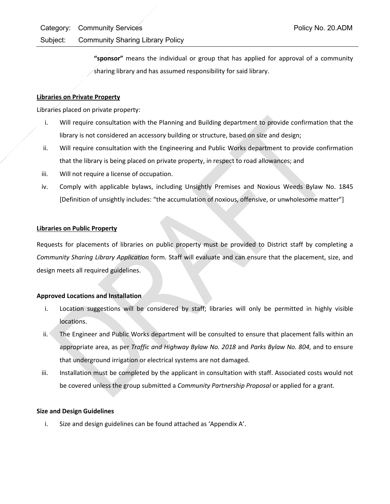# Subject: Community Sharing Library Policy

**"sponsor"** means the individual or group that has applied for approval of a community sharing library and has assumed responsibility for said library.

## **Libraries on Private Property**

Libraries placed on private property:

- i. Will require consultation with the Planning and Building department to provide confirmation that the library is not considered an accessory building or structure, based on size and design;
- ii. Will require consultation with the Engineering and Public Works department to provide confirmation that the library is being placed on private property, in respect to road allowances; and
- iii. Will not require a license of occupation.
- iv. Comply with applicable bylaws, including Unsightly Premises and Noxious Weeds Bylaw No. 1845 [Definition of unsightly includes: "the accumulation of noxious, offensive, or unwholesome matter"]

### **Libraries on Public Property**

Requests for placements of libraries on public property must be provided to District staff by completing a *Community Sharing Library Application* form. Staff will evaluate and can ensure that the placement, size, and design meets all required guidelines.

## **Approved Locations and Installation**

- i. Location suggestions will be considered by staff; libraries will only be permitted in highly visible locations.
- ii. The Engineer and Public Works department will be consulted to ensure that placement falls within an appropriate area, as per *Traffic and Highway Bylaw No. 2018* and *Parks Bylaw No. 804*, and to ensure that underground irrigation or electrical systems are not damaged.
- iii. Installation must be completed by the applicant in consultation with staff. Associated costs would not be covered unless the group submitted a *Community Partnership Proposal* or applied for a grant.

#### **Size and Design Guidelines**

i. Size and design guidelines can be found attached as 'Appendix A'.